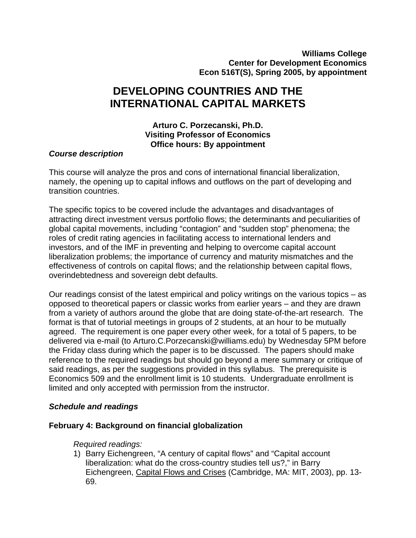# **DEVELOPING COUNTRIES AND THE INTERNATIONAL CAPITAL MARKETS**

**Arturo C. Porzecanski, Ph.D. Visiting Professor of Economics Office hours: By appointment** 

## *Course description*

This course will analyze the pros and cons of international financial liberalization, namely, the opening up to capital inflows and outflows on the part of developing and transition countries.

The specific topics to be covered include the advantages and disadvantages of attracting direct investment versus portfolio flows; the determinants and peculiarities of global capital movements, including "contagion" and "sudden stop" phenomena; the roles of credit rating agencies in facilitating access to international lenders and investors, and of the IMF in preventing and helping to overcome capital account liberalization problems; the importance of currency and maturity mismatches and the effectiveness of controls on capital flows; and the relationship between capital flows, overindebtedness and sovereign debt defaults.

Our readings consist of the latest empirical and policy writings on the various topics – as opposed to theoretical papers or classic works from earlier years – and they are drawn from a variety of authors around the globe that are doing state-of-the-art research. The format is that of tutorial meetings in groups of 2 students, at an hour to be mutually agreed. The requirement is one paper every other week, for a total of 5 papers, to be delivered via e-mail (to Arturo.C.Porzecanski@williams.edu) by Wednesday 5PM before the Friday class during which the paper is to be discussed. The papers should make reference to the required readings but should go beyond a mere summary or critique of said readings, as per the suggestions provided in this syllabus. The prerequisite is Economics 509 and the enrollment limit is 10 students. Undergraduate enrollment is limited and only accepted with permission from the instructor.

#### *Schedule and readings*

#### **February 4: Background on financial globalization**

#### *Required readings:*

1) Barry Eichengreen, "A century of capital flows" and "Capital account liberalization: what do the cross-country studies tell us?," in Barry Eichengreen, Capital Flows and Crises (Cambridge, MA: MIT, 2003), pp. 13- 69.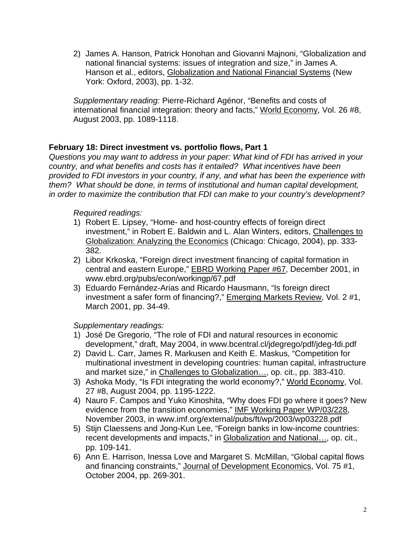2) James A. Hanson, Patrick Honohan and Giovanni Majnoni, "Globalization and national financial systems: issues of integration and size," in James A. Hanson et al., editors, Globalization and National Financial Systems (New York: Oxford, 2003), pp. 1-32.

*Supplementary reading:* Pierre-Richard Agénor, "Benefits and costs of international financial integration: theory and facts," World Economy, Vol. 26 #8, August 2003, pp. 1089-1118.

## **February 18: Direct investment vs. portfolio flows, Part 1**

*Questions you may want to address in your paper: What kind of FDI has arrived in your country, and what benefits and costs has it entailed? What incentives have been provided to FDI investors in your country, if any, and what has been the experience with them? What should be done, in terms of institutional and human capital development, in order to maximize the contribution that FDI can make to your country's development?* 

#### *Required readings:*

- 1) Robert E. Lipsey, "Home- and host-country effects of foreign direct investment," in Robert E. Baldwin and L. Alan Winters, editors, Challenges to Globalization: Analyzing the Economics (Chicago: Chicago, 2004), pp. 333- 382.
- 2) Libor Krkoska, "Foreign direct investment financing of capital formation in central and eastern Europe," **EBRD Working Paper #67**, December 2001, in www.ebrd.org/pubs/econ/workingp/67.pdf
- 3) Eduardo Fernández-Arias and Ricardo Hausmann, "Is foreign direct investment a safer form of financing?," Emerging Markets Review, Vol. 2 #1, March 2001, pp. 34-49.

- 1) José De Gregorio, "The role of FDI and natural resources in economic development," draft, May 2004, in www.bcentral.cl/jdegrego/pdf/jdeg-fdi.pdf
- 2) David L. Carr, James R. Markusen and Keith E. Maskus, "Competition for multinational investment in developing countries: human capital, infrastructure and market size," in Challenges to Globalization…, op. cit., pp. 383-410.
- 3) Ashoka Mody, "Is FDI integrating the world economy?," World Economy, Vol. 27 #8, August 2004, pp. 1195-1222.
- 4) Nauro F. Campos and Yuko Kinoshita, "Why does FDI go where it goes? New evidence from the transition economies," IMF Working Paper WP/03/228, November 2003, in www.imf.org/external/pubs/ft/wp/2003/wp03228.pdf
- 5) Stijn Claessens and Jong-Kun Lee, "Foreign banks in low-income countries: recent developments and impacts," in Globalization and National…, op. cit., pp. 109-141.
- 6) Ann E. Harrison, Inessa Love and Margaret S. McMillan, "Global capital flows and financing constraints," Journal of Development Economics, Vol. 75 #1, October 2004, pp. 269-301.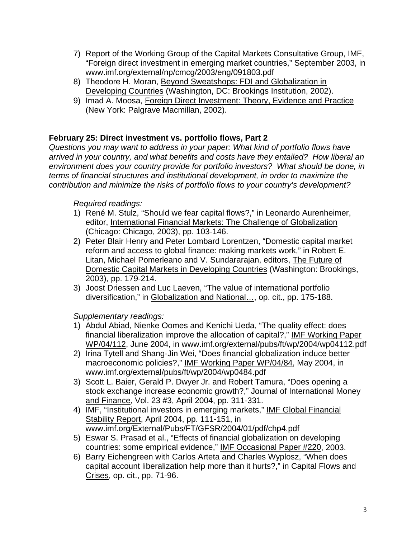- 7) Report of the Working Group of the Capital Markets Consultative Group, IMF, "Foreign direct investment in emerging market countries," September 2003, in www.imf.org/external/np/cmcg/2003/eng/091803.pdf
- 8) Theodore H. Moran, Beyond Sweatshops: FDI and Globalization in Developing Countries (Washington, DC: Brookings Institution, 2002).
- 9) Imad A. Moosa, Foreign Direct Investment: Theory, Evidence and Practice (New York: Palgrave Macmillan, 2002).

# **February 25: Direct investment vs. portfolio flows, Part 2**

*Questions you may want to address in your paper: What kind of portfolio flows have arrived in your country, and what benefits and costs have they entailed? How liberal an environment does your country provide for portfolio investors? What should be done, in terms of financial structures and institutional development, in order to maximize the contribution and minimize the risks of portfolio flows to your country's development?* 

#### *Required readings:*

- 1) René M. Stulz, "Should we fear capital flows?," in Leonardo Aurenheimer, editor, International Financial Markets: The Challenge of Globalization (Chicago: Chicago, 2003), pp. 103-146.
- 2) Peter Blair Henry and Peter Lombard Lorentzen, "Domestic capital market reform and access to global finance: making markets work," in Robert E. Litan, Michael Pomerleano and V. Sundararajan, editors, The Future of Domestic Capital Markets in Developing Countries (Washington: Brookings, 2003), pp. 179-214.
- 3) Joost Driessen and Luc Laeven, "The value of international portfolio diversification," in Globalization and National…, op. cit., pp. 175-188.

- 1) Abdul Abiad, Nienke Oomes and Kenichi Ueda, "The quality effect: does financial liberalization improve the allocation of capital?," IMF Working Paper WP/04/112, June 2004, in www.imf.org/external/pubs/ft/wp/2004/wp04112.pdf
- 2) Irina Tytell and Shang-Jin Wei, "Does financial globalization induce better macroeconomic policies?," IMF Working Paper WP/04/84, May 2004, in www.imf.org/external/pubs/ft/wp/2004/wp0484.pdf
- 3) Scott L. Baier, Gerald P. Dwyer Jr. and Robert Tamura, "Does opening a stock exchange increase economic growth?," Journal of International Money and Finance, Vol. 23 #3, April 2004, pp. 311-331.
- 4) IMF, "Institutional investors in emerging markets," IMF Global Financial Stability Report, April 2004, pp. 111-151, in www.imf.org/External/Pubs/FT/GFSR/2004/01/pdf/chp4.pdf
- 5) Eswar S. Prasad et al., "Effects of financial globalization on developing countries: some empirical evidence," IMF Occasional Paper #220, 2003.
- 6) Barry Eichengreen with Carlos Arteta and Charles Wyplosz, "When does capital account liberalization help more than it hurts?," in Capital Flows and Crises, op. cit., pp. 71-96.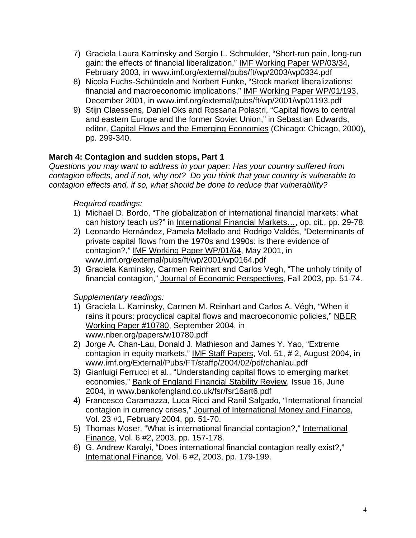- 7) Graciela Laura Kaminsky and Sergio L. Schmukler, "Short-run pain, long-run gain: the effects of financial liberalization," IMF Working Paper WP/03/34, February 2003, in www.imf.org/external/pubs/ft/wp/2003/wp0334.pdf
- 8) Nicola Fuchs-Schündeln and Norbert Funke, "Stock market liberalizations: financial and macroeconomic implications," IMF Working Paper WP/01/193, December 2001, in www.imf.org/external/pubs/ft/wp/2001/wp01193.pdf
- 9) Stijn Claessens, Daniel Oks and Rossana Polastri, "Capital flows to central and eastern Europe and the former Soviet Union," in Sebastian Edwards, editor, Capital Flows and the Emerging Economies (Chicago: Chicago, 2000), pp. 299-340.

## **March 4: Contagion and sudden stops, Part 1**

*Questions you may want to address in your paper: Has your country suffered from contagion effects, and if not, why not? Do you think that your country is vulnerable to contagion effects and, if so, what should be done to reduce that vulnerability?* 

#### *Required readings:*

- 1) Michael D. Bordo, "The globalization of international financial markets: what can history teach us?" in International Financial Markets…, op. cit., pp. 29-78.
- 2) Leonardo Hernández, Pamela Mellado and Rodrigo Valdés, "Determinants of private capital flows from the 1970s and 1990s: is there evidence of contagion?," IMF Working Paper WP/01/64, May 2001, in www.imf.org/external/pubs/ft/wp/2001/wp0164.pdf
- 3) Graciela Kaminsky, Carmen Reinhart and Carlos Vegh, "The unholy trinity of financial contagion," Journal of Economic Perspectives, Fall 2003, pp. 51-74.

- 1) Graciela L. Kaminsky, Carmen M. Reinhart and Carlos A. Végh, "When it rains it pours: procyclical capital flows and macroeconomic policies," NBER Working Paper #10780, September 2004, in www.nber.org/papers/w10780.pdf
- 2) Jorge A. Chan-Lau, Donald J. Mathieson and James Y. Yao, "Extreme contagion in equity markets," IMF Staff Papers, Vol. 51, # 2, August 2004, in www.imf.org/External/Pubs/FT/staffp/2004/02/pdf/chanlau.pdf
- 3) Gianluigi Ferrucci et al., "Understanding capital flows to emerging market economies," Bank of England Financial Stability Review, Issue 16, June 2004, in www.bankofengland.co.uk/fsr/fsr16art6.pdf
- 4) Francesco Caramazza, Luca Ricci and Ranil Salgado, "International financial contagion in currency crises," Journal of International Money and Finance, Vol. 23 #1, February 2004, pp. 51-70.
- 5) Thomas Moser, "What is international financial contagion?," International Finance, Vol. 6 #2, 2003, pp. 157-178.
- 6) G. Andrew Karolyi, "Does international financial contagion really exist?," International Finance, Vol. 6 #2, 2003, pp. 179-199.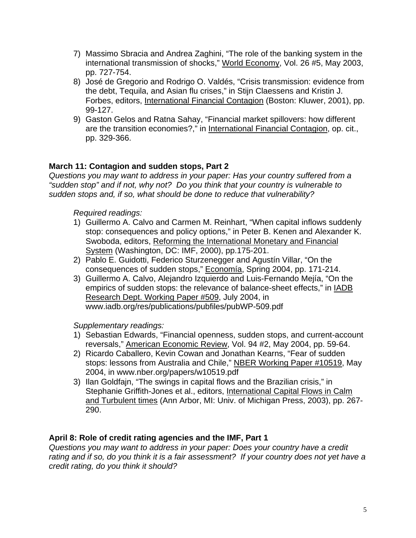- 7) Massimo Sbracia and Andrea Zaghini, "The role of the banking system in the international transmission of shocks," World Economy, Vol. 26 #5, May 2003, pp. 727-754.
- 8) José de Gregorio and Rodrigo O. Valdés, "Crisis transmission: evidence from the debt, Tequila, and Asian flu crises," in Stijn Claessens and Kristin J. Forbes, editors, International Financial Contagion (Boston: Kluwer, 2001), pp. 99-127.
- 9) Gaston Gelos and Ratna Sahay, "Financial market spillovers: how different are the transition economies?," in International Financial Contagion, op. cit., pp. 329-366.

## **March 11: Contagion and sudden stops, Part 2**

*Questions you may want to address in your paper: Has your country suffered from a "sudden stop" and if not, why not? Do you think that your country is vulnerable to sudden stops and, if so, what should be done to reduce that vulnerability?* 

*Required readings:*

- 1) Guillermo A. Calvo and Carmen M. Reinhart, "When capital inflows suddenly stop: consequences and policy options," in Peter B. Kenen and Alexander K. Swoboda, editors, Reforming the International Monetary and Financial System (Washington, DC: IMF, 2000), pp.175-201.
- 2) Pablo E. Guidotti, Federico Sturzenegger and Agustín Villar, "On the consequences of sudden stops," Economía, Spring 2004, pp. 171-214.
- 3) Guillermo A. Calvo, Alejandro Izquierdo and Luis-Fernando Mejía, "On the empirics of sudden stops: the relevance of balance-sheet effects," in IADB Research Dept. Working Paper #509, July 2004, in www.iadb.org/res/publications/pubfiles/pubWP-509.pdf

*Supplementary readings:*

- 1) Sebastian Edwards, "Financial openness, sudden stops, and current-account reversals," American Economic Review, Vol. 94 #2, May 2004, pp. 59-64.
- 2) Ricardo Caballero, Kevin Cowan and Jonathan Kearns, "Fear of sudden stops: lessons from Australia and Chile," NBER Working Paper #10519, May 2004, in www.nber.org/papers/w10519.pdf
- 3) Ilan Goldfajn, "The swings in capital flows and the Brazilian crisis," in Stephanie Griffith-Jones et al., editors, International Capital Flows in Calm and Turbulent times (Ann Arbor, MI: Univ. of Michigan Press, 2003), pp. 267- 290.

## **April 8: Role of credit rating agencies and the IMF, Part 1**

*Questions you may want to address in your paper: Does your country have a credit rating and if so, do you think it is a fair assessment? If your country does not yet have a credit rating, do you think it should?*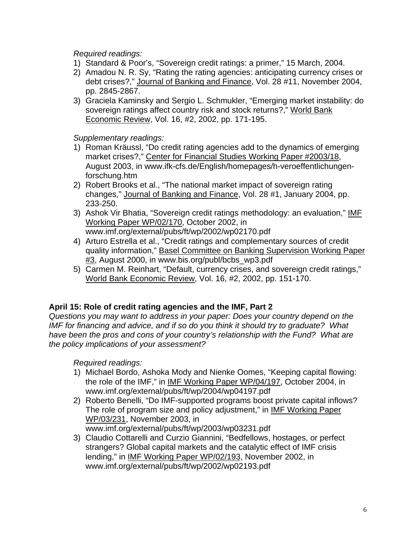*Required readings:*

- 1) Standard & Poor's, "Sovereign credit ratings: a primer," 15 March, 2004.
- 2) Amadou N. R. Sy, "Rating the rating agencies: anticipating currency crises or debt crises?," Journal of Banking and Finance, Vol. 28 #11, November 2004, pp. 2845-2867.
- 3) Graciela Kaminsky and Sergio L. Schmukler, "Emerging market instability: do sovereign ratings affect country risk and stock returns?," World Bank Economic Review, Vol. 16, #2, 2002, pp. 171-195.

*Supplementary readings:*

- 1) Roman Kräussl, "Do credit rating agencies add to the dynamics of emerging market crises?," Center for Financial Studies Working Paper #2003/18, August 2003, in www.ifk-cfs.de/English/homepages/h-veroeffentlichungenforschung.htm
- 2) Robert Brooks et al., "The national market impact of sovereign rating changes," Journal of Banking and Finance, Vol. 28 #1, January 2004, pp. 233-250.
- 3) Ashok Vir Bhatia, "Sovereign credit ratings methodology: an evaluation," IMF Working Paper WP/02/170, October 2002, in www.imf.org/external/pubs/ft/wp/2002/wp02170.pdf
- 4) Arturo Estrella et al., "Credit ratings and complementary sources of credit quality information," Basel Committee on Banking Supervision Working Paper #3, August 2000, in www.bis.org/publ/bcbs\_wp3.pdf
- 5) Carmen M. Reinhart, "Default, currency crises, and sovereign credit ratings," World Bank Economic Review, Vol. 16, #2, 2002, pp. 151-170.

## **April 15: Role of credit rating agencies and the IMF, Part 2**

*Questions you may want to address in your paper: Does your country depend on the IMF for financing and advice, and if so do you think it should try to graduate? What have been the pros and cons of your country's relationship with the Fund? What are the policy implications of your assessment?*

*Required readings:* 

- 1) Michael Bordo, Ashoka Mody and Nienke Oomes, "Keeping capital flowing: the role of the IMF," in IMF Working Paper WP/04/197, October 2004, in www.imf.org/external/pubs/ft/wp/2004/wp04197.pdf
- 2) Roberto Benelli, "Do IMF-supported programs boost private capital inflows? The role of program size and policy adjustment," in IMF Working Paper WP/03/231, November 2003, in www.imf.org/external/pubs/ft/wp/2003/wp03231.pdf
- 3) Claudio Cottarelli and Curzio Giannini, "Bedfellows, hostages, or perfect strangers? Global capital markets and the catalytic effect of IMF crisis lending," in IMF Working Paper WP/02/193, November 2002, in www.imf.org/external/pubs/ft/wp/2002/wp02193.pdf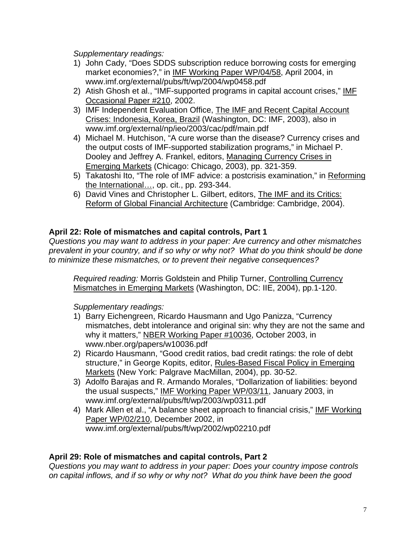*Supplementary readings:* 

- 1) John Cady, "Does SDDS subscription reduce borrowing costs for emerging market economies?," in IMF Working Paper WP/04/58, April 2004, in www.imf.org/external/pubs/ft/wp/2004/wp0458.pdf
- 2) Atish Ghosh et al., "IMF-supported programs in capital account crises," IMF Occasional Paper #210, 2002.
- 3) IMF Independent Evaluation Office, The IMF and Recent Capital Account Crises: Indonesia, Korea, Brazil (Washington, DC: IMF, 2003), also in www.imf.org/external/np/ieo/2003/cac/pdf/main.pdf
- 4) Michael M. Hutchison, "A cure worse than the disease? Currency crises and the output costs of IMF-supported stabilization programs," in Michael P. Dooley and Jeffrey A. Frankel, editors, Managing Currency Crises in Emerging Markets (Chicago: Chicago, 2003), pp. 321-359.
- 5) Takatoshi Ito, "The role of IMF advice: a postcrisis examination," in Reforming the International…, op. cit., pp. 293-344.
- 6) David Vines and Christopher L. Gilbert, editors, The IMF and its Critics: Reform of Global Financial Architecture (Cambridge: Cambridge, 2004).

# **April 22: Role of mismatches and capital controls, Part 1**

*Questions you may want to address in your paper: Are currency and other mismatches prevalent in your country, and if so why or why not? What do you think should be done to minimize these mismatches, or to prevent their negative consequences?*

*Required reading:* Morris Goldstein and Philip Turner, Controlling Currency Mismatches in Emerging Markets (Washington, DC: IIE, 2004), pp.1-120.

*Supplementary readings:* 

- 1) Barry Eichengreen, Ricardo Hausmann and Ugo Panizza, "Currency mismatches, debt intolerance and original sin: why they are not the same and why it matters," NBER Working Paper #10036, October 2003, in www.nber.org/papers/w10036.pdf
- 2) Ricardo Hausmann, "Good credit ratios, bad credit ratings: the role of debt structure," in George Kopits, editor, Rules-Based Fiscal Policy in Emerging Markets (New York: Palgrave MacMillan, 2004), pp. 30-52.
- 3) Adolfo Barajas and R. Armando Morales, "Dollarization of liabilities: beyond the usual suspects," IMF Working Paper WP/03/11, January 2003, in www.imf.org/external/pubs/ft/wp/2003/wp0311.pdf
- 4) Mark Allen et al., "A balance sheet approach to financial crisis," IMF Working Paper WP/02/210, December 2002, in www.imf.org/external/pubs/ft/wp/2002/wp02210.pdf

# **April 29: Role of mismatches and capital controls, Part 2**

*Questions you may want to address in your paper: Does your country impose controls on capital inflows, and if so why or why not? What do you think have been the good*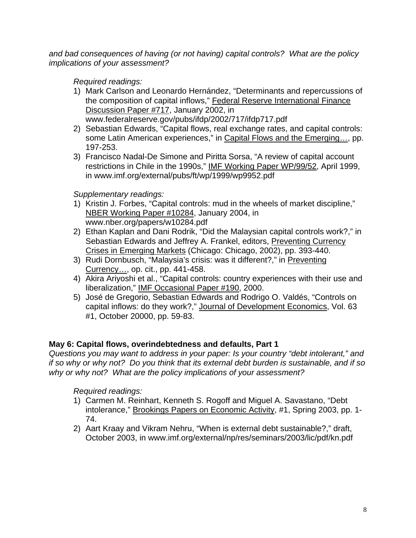*and bad consequences of having (or not having) capital controls? What are the policy implications of your assessment?*

*Required readings:*

- 1) Mark Carlson and Leonardo Hernández, "Determinants and repercussions of the composition of capital inflows," Federal Reserve International Finance Discussion Paper #717, January 2002, in www.federalreserve.gov/pubs/ifdp/2002/717/ifdp717.pdf
- 2) Sebastian Edwards, "Capital flows, real exchange rates, and capital controls: some Latin American experiences," in Capital Flows and the Emerging..., pp. 197-253.
- 3) Francisco Nadal-De Simone and Piritta Sorsa, "A review of capital account restrictions in Chile in the 1990s," IMF Working Paper WP/99/52, April 1999, in www.imf.org/external/pubs/ft/wp/1999/wp9952.pdf

*Supplementary readings:*

- 1) Kristin J. Forbes, "Capital controls: mud in the wheels of market discipline," NBER Working Paper #10284, January 2004, in www.nber.org/papers/w10284.pdf
- 2) Ethan Kaplan and Dani Rodrik, "Did the Malaysian capital controls work?," in Sebastian Edwards and Jeffrey A. Frankel, editors, Preventing Currency Crises in Emerging Markets (Chicago: Chicago, 2002), pp. 393-440.
- 3) Rudi Dornbusch, "Malaysia's crisis: was it different?," in Preventing Currency…, op. cit., pp. 441-458.
- 4) Akira Ariyoshi et al., "Capital controls: country experiences with their use and liberalization," IMF Occasional Paper #190, 2000.
- 5) José de Gregorio, Sebastian Edwards and Rodrigo O. Valdés, "Controls on capital inflows: do they work?," Journal of Development Economics, Vol. 63 #1, October 20000, pp. 59-83.

# **May 6: Capital flows, overindebtedness and defaults, Part 1**

*Questions you may want to address in your paper: Is your country "debt intolerant," and if so why or why not? Do you think that its external debt burden is sustainable, and if so why or why not? What are the policy implications of your assessment?*

*Required readings:* 

- 1) Carmen M. Reinhart, Kenneth S. Rogoff and Miguel A. Savastano, "Debt intolerance," Brookings Papers on Economic Activity, #1, Spring 2003, pp. 1- 74.
- 2) Aart Kraay and Vikram Nehru, "When is external debt sustainable?," draft, October 2003, in www.imf.org/external/np/res/seminars/2003/lic/pdf/kn.pdf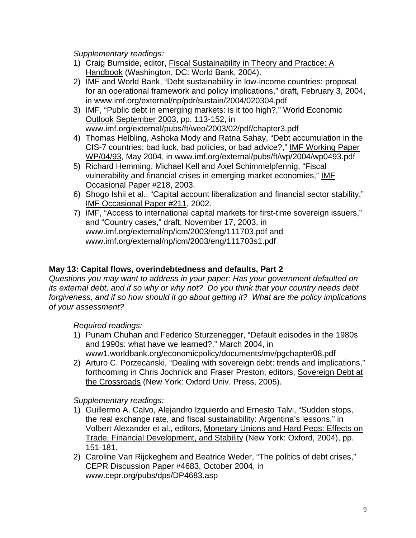*Supplementary readings:*

- 1) Craig Burnside, editor, Fiscal Sustainability in Theory and Practice: A Handbook (Washington, DC: World Bank, 2004).
- 2) IMF and World Bank, "Debt sustainability in low-income countries: proposal for an operational framework and policy implications," draft, February 3, 2004, in www.imf.org/external/np/pdr/sustain/2004/020304.pdf
- 3) IMF, "Public debt in emerging markets: is it too high?," World Economic Outlook September 2003, pp. 113-152, in www.imf.org/external/pubs/ft/weo/2003/02/pdf/chapter3.pdf
- 4) Thomas Helbling, Ashoka Mody and Ratna Sahay, "Debt accumulation in the CIS-7 countries: bad luck, bad policies, or bad advice?," IMF Working Paper WP/04/93, May 2004, in www.imf.org/external/pubs/ft/wp/2004/wp0493.pdf
- 5) Richard Hemming, Michael Kell and Axel Schimmelpfennig, "Fiscal vulnerability and financial crises in emerging market economies," IMF Occasional Paper #218, 2003.
- 6) Shogo Ishii et al., "Capital account liberalization and financial sector stability," IMF Occasional Paper #211, 2002.
- 7) IMF, "Access to international capital markets for first-time sovereign issuers," and "Country cases," draft, November 17, 2003, in www.imf.org/external/np/icm/2003/eng/111703.pdf and www.imf.org/external/np/icm/2003/eng/111703s1.pdf

# **May 13: Capital flows, overindebtedness and defaults, Part 2**

*Questions you may want to address in your paper: Has your government defaulted on its external debt, and if so why or why not? Do you think that your country needs debt forgiveness, and if so how should it go about getting it? What are the policy implications of your assessment?*

*Required readings:* 

- 1) Punam Chuhan and Federico Sturzenegger, "Default episodes in the 1980s and 1990s: what have we learned?," March 2004, in www1.worldbank.org/economicpolicy/documents/mv/pgchapter08.pdf
- 2) Arturo C. Porzecanski, "Dealing with sovereign debt: trends and implications," forthcoming in Chris Jochnick and Fraser Preston, editors, Sovereign Debt at the Crossroads (New York: Oxford Univ. Press, 2005).

- 1) Guillermo A. Calvo, Alejandro Izquierdo and Ernesto Talvi, "Sudden stops, the real exchange rate, and fiscal sustainability: Argentina's lessons," in Volbert Alexander et al., editors, Monetary Unions and Hard Pegs: Effects on Trade, Financial Development, and Stability (New York: Oxford, 2004), pp. 151-181.
- 2) Caroline Van Rijckeghem and Beatrice Weder, "The politics of debt crises," CEPR Discussion Paper #4683, October 2004, in www.cepr.org/pubs/dps/DP4683.asp